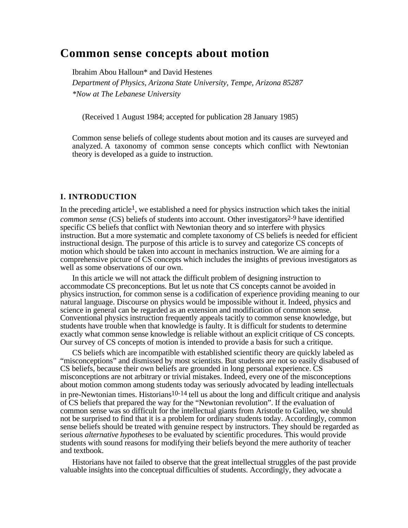# **Common sense concepts about motion**

Ibrahim Abou Halloun\* and David Hestenes *Department of Physics, Arizona State University, Tempe, Arizona 85287 \*Now at The Lebanese University*

(Received 1 August 1984; accepted for publication 28 January 1985)

Common sense beliefs of college students about motion and its causes are surveyed and analyzed. A taxonomy of common sense concepts which conflict with Newtonian theory is developed as a guide to instruction.

## **I. INTRODUCTION**

In the preceding article<sup>1</sup>, we established a need for physics instruction which takes the initial *common sense* (CS) beliefs of students into account. Other investigators<sup>2-9</sup> have identified specific CS beliefs that conflict with Newtonian theory and so interfere with physics instruction. But a more systematic and complete taxonomy of CS beliefs is needed for efficient instructional design. The purpose of this article is to survey and categorize CS concepts of motion which should be taken into account in mechanics instruction. We are aiming for a comprehensive picture of CS concepts which includes the insights of previous investigators as well as some observations of our own.

In this article we will not attack the difficult problem of designing instruction to accommodate CS preconceptions. But let us note that CS concepts cannot be avoided in physics instruction, for common sense is a codification of experience providing meaning to our natural language. Discourse on physics would be impossible without it. Indeed, physics and science in general can be regarded as an extension and modification of common sense. Conventional physics instruction frequently appeals tacitly to common sense knowledge, but students have trouble when that knowledge is faulty. It is difficult for students to determine exactly what common sense knowledge is reliable without an explicit critique of CS concepts. Our survey of CS concepts of motion is intended to provide a basis for such a critique.

CS beliefs which are incompatible with established scientific theory are quickly labeled as "misconceptions" and dismissed by most scientists. But students are not so easily disabused of CS beliefs, because their own beliefs are grounded in long personal experience. CS misconceptions are not arbitrary or trivial mistakes. Indeed, every one of the misconceptions about motion common among students today was seriously advocated by leading intellectuals in pre-Newtonian times. Historians<sup>10-14</sup> tell us about the long and difficult critique and analysis of CS beliefs that prepared the way for the "Newtonian revolution". If the evaluation of common sense was so difficult for the intellectual giants from Aristotle to Galileo, we should not be surprised to find that it is a problem for ordinary students today. Accordingly, common sense beliefs should be treated with genuine respect by instructors. They should be regarded as serious *alternative hypotheses* to be evaluated by scientific procedures. This would provide students with sound reasons for modifying their beliefs beyond the mere authority of teacher and textbook.

Historians have not failed to observe that the great intellectual struggles of the past provide valuable insights into the conceptual difficulties of students. Accordingly, they advocate a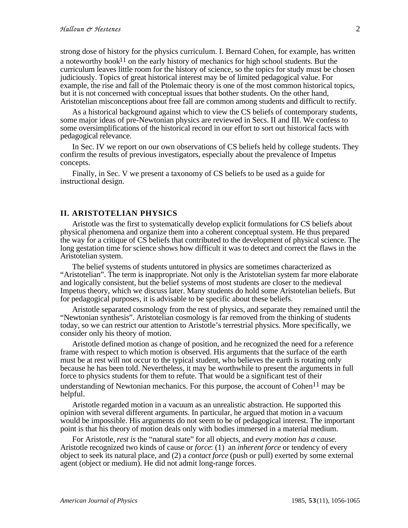strong dose of history for the physics curriculum. I. Bernard Cohen, for example, has written a noteworthy book<sup>11</sup> on the early history of mechanics for high school students. But the curriculum leaves little room for the history of science, so the topics for study must be chosen judiciously. Topics of great historical interest may be of limited pedagogical value. For example, the rise and fall of the Ptolemaic theory is one of the most common historical topics, but it is not concerned with conceptual issues that bother students. On the other hand, Aristotelian misconceptions about free fall are common among students and difficult to rectify.

As a historical background against which to view the CS beliefs of contemporary students, some major ideas of pre-Newtonian physics are reviewed in Secs. II and III. We confess to some oversimplifications of the historical record in our effort to sort out historical facts with pedagogical relevance.

In Sec. IV we report on our own observations of CS beliefs held by college students. They confirm the results of previous investigators, especially about the prevalence of Impetus concepts.

Finally, in Sec. V we present a taxonomy of CS beliefs to be used as a guide for instructional design.

#### **II. ARISTOTELIAN PHYSICS**

Aristotle was the first to systematically develop explicit formulations for CS beliefs about physical phenomena and organize them into a coherent conceptual system. He thus prepared the way for a critique of CS beliefs that contributed to the development of physical science. The long gestation time for science shows how difficult it was to detect and correct the flaws in the Aristotelian system.

The belief systems of students untutored in physics are sometimes characterized as "Aristotelian". The term is inappropriate. Not only is the Aristotelian system far more elaborate and logically consistent, but the belief systems of most students are closer to the medieval Impetus theory, which we discuss later. Many students do hold some Aristotelian beliefs. But for pedagogical purposes, it is advisable to be specific about these beliefs.

Aristotle separated cosmology from the rest of physics, and separate they remained until the "Newtonian synthesis". Aristotelian cosmology is far removed from the thinking of students today, so we can restrict our attention to Aristotle's terrestrial physics. More specifically, we consider only his theory of motion.

Aristotle defined motion as change of position, and he recognized the need for a reference frame with respect to which motion is observed. His arguments that the surface of the earth must be at rest will not occur to the typical student, who believes the earth is rotating only because he has been told. Nevertheless, it may be worthwhile to present the arguments in full force to physics students for them to refute. That would be a significant test of their understanding of Newtonian mechanics. For this purpose, the account of Cohen<sup>11</sup> may be helpful.

Aristotle regarded motion in a vacuum as an unrealistic abstraction. He supported this opinion with several different arguments. In particular, he argued that motion in a vacuum would be impossible. His arguments do not seem to be of pedagogical interest. The important point is that his theory of motion deals only with bodies immersed in a material medium.

For Aristotle, *rest is* the "natural state" for all objects, and *every motion has a cause.* Aristotle recognized two kinds of cause or *force*: (1) an *inherent force* or tendency of every object to seek its natural place, and (2) a *contact force* (push or pull) exerted by some external agent (object or medium). He did not admit long-range forces.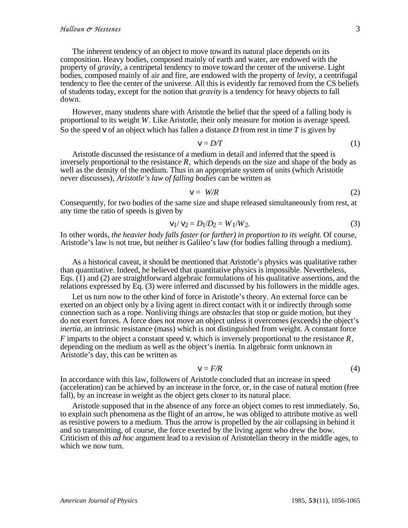The inherent tendency of an object to move toward its natural place depends on its composition. Heavy bodies, composed mainly of earth and water, are endowed with the property of *gravity,* a centripetal tendency to move toward the center of the universe. Light bodies, composed mainly of air and fire, are endowed with the property of *levity,* a centrifugal tendency to flee the center of the universe. All this is evidently far removed from the CS beliefs of students today, except for the notion that *gravity* is a tendency for heavy objects to fall down.

However, many students share with Aristotle the belief that the speed of a falling body is proportional to its weight *W*. Like Aristotle, their only measure for motion is average speed. So the speed *v* of an object which has fallen a distance *D* from rest in time *T* is given by

$$
v = D/T \tag{1}
$$

Aristotle discussed the resistance of a medium in detail and inferred that the speed is inversely proportional to the resistance *R,* which depends on the size and shape of the body as well as the density of the medium. Thus in an appropriate system of units (which Aristotle never discusses), *Aristotle's law of falling bodies* can be written as

$$
v = W/R \tag{2}
$$

Consequently, for two bodies of the same size and shape released simultaneously from rest, at any time the ratio of speeds is given by

$$
v_1 / v_2 = D_1 / D_2 = W_1 / W_2. \tag{3}
$$

In other words, *the heavier body falls faster (or farther) in proportion to its weight*. Of course, Aristotle's law is not true, but neither is Galileo's law (for bodies falling through a medium).

As a historical caveat, it should be mentioned that Aristotle's physics was qualitative rather than quantitative. Indeed, he believed that quantitative physics is impossible. Nevertheless, Eqs. (1) and (2) are straightforward algebraic formulations of his qualitative assertions, and the relations expressed by Eq. (3) were inferred and discussed by his followers in the middle ages.

Let us turn now to the other kind of force in Aristotle's theory. An external force can be exerted on an object only by a living agent in direct contact with it or indirectly through some connection such as a rope. Nonliving things are *obstacles* that stop or guide motion, but they do not exert forces. A force does not move an object unless it overcomes (exceeds) the object's *inertia*, an intrinsic resistance (mass) which is not distinguished from weight. A constant force

*F* imparts to the object a constant speed *v*, which is inversely proportional to the resistance *R,* depending on the medium as well as the object's inertia. In algebraic form unknown in Aristotle's day, this can be written as

$$
v = F/R \tag{4}
$$

In accordance with this law, followers of Aristotle concluded that an increase in speed (acceleration) can be achieved by an increase in the force, or, in the case of natural motion (free fall), by an increase in weight as the object gets closer to its natural place.

Aristotle supposed that in the absence of any force an object comes to rest immediately. So, to explain such phenomena as the flight of an arrow, he was obliged to attribute motive as well as resistive powers to a medium. Thus the arrow is propelled by the air collapsing in behind it and so transmitting, of course, the force exerted by the living agent who drew the bow. Criticism of this *ad hoc* argument lead to a revision of Aristotelian theory in the middle ages, to which we now turn.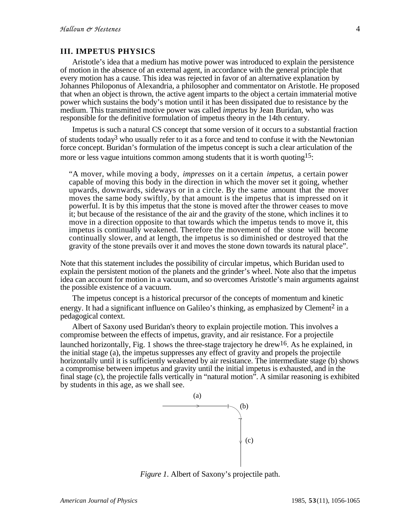## **III. IMPETUS PHYSICS**

Aristotle's idea that a medium has motive power was introduced to explain the persistence of motion in the absence of an external agent, in accordance with the general principle that every motion has a cause. This idea was rejected in favor of an alternative explanation by Johannes Philoponus of Alexandria, a philosopher and commentator on Aristotle. He proposed that when an object is thrown, the active agent imparts to the object a certain immaterial motive power which sustains the body's motion until it has been dissipated due to resistance by the medium. This transmitted motive power was called *impetus* by Jean Buridan, who was responsible for the definitive formulation of impetus theory in the 14th century.

Impetus is such a natural CS concept that some version of it occurs to a substantial fraction of students today<sup>3</sup> who usually refer to it as a force and tend to confuse it with the Newtonian force concept. Buridan's formulation of the impetus concept is such a clear articulation of the more or less vague intuitions common among students that it is worth quoting<sup>15</sup>:

"A mover, while moving a body, *impresses* on it a certain *impetus,* a certain power capable of moving this body in the direction in which the mover set it going, whether upwards, downwards, sideways or in a circle. By the same amount that the mover moves the same body swiftly, by that amount is the impetus that is impressed on it powerful. It is by this impetus that the stone is moved after the thrower ceases to move it; but because of the resistance of the air and the gravity of the stone, which inclines it to move in a direction opposite to that towards which the impetus tends to move it, this impetus is continually weakened. Therefore the movement of the stone will become continually slower, and at length, the impetus is so diminished or destroyed that the gravity of the stone prevails over it and moves the stone down towards its natural place".

Note that this statement includes the possibility of circular impetus, which Buridan used to explain the persistent motion of the planets and the grinder's wheel. Note also that the impetus idea can account for motion in a vacuum, and so overcomes Aristotle's main arguments against the possible existence of a vacuum.

The impetus concept is a historical precursor of the concepts of momentum and kinetic energy. It had a significant influence on Galileo's thinking, as emphasized by Clement<sup>2</sup> in a pedagogical context.

Albert of Saxony used Buridan's theory to explain projectile motion. This involves a compromise between the effects of impetus, gravity, and air resistance. For a projectile launched horizontally, Fig. 1 shows the three-stage trajectory he drew<sup>16</sup>. As he explained, in the initial stage (a), the impetus suppresses any effect of gravity and propels the projectile horizontally until it is sufficiently weakened by air resistance. The intermediate stage (b) shows a compromise between impetus and gravity until the initial impetus is exhausted, and in the final stage (c), the projectile falls vertically in "natural motion". A similar reasoning is exhibited by students in this age, as we shall see.



*Figure 1*. Albert of Saxony's projectile path.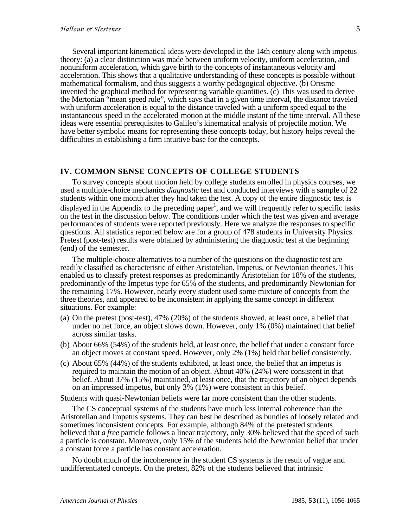Several important kinematical ideas were developed in the 14th century along with impetus theory: (a) a clear distinction was made between uniform velocity, uniform acceleration, and nonuniform acceleration, which gave birth to the concepts of instantaneous velocity and acceleration. This shows that a qualitative understanding of these concepts is possible without mathematical formalism, and thus suggests a worthy pedagogical objective. (b) Oresme invented the graphical method for representing variable quantities. (c) This was used to derive the Mertonian "mean speed rule", which says that in a given time interval, the distance traveled with uniform acceleration is equal to the distance traveled with a uniform speed equal to the instantaneous speed in the accelerated motion at the middle instant of the time interval. All these ideas were essential prerequisites to Galileo's kinematical analysis of projectile motion. We have better symbolic means for representing these concepts today, but history helps reveal the difficulties in establishing a firm intuitive base for the concepts.

#### **IV. COMMON SENSE CONCEPTS OF COLLEGE STUDENTS**

To survey concepts about motion held by college students enrolled in physics courses, we used a multiple-choice mechanics *diagnostic* test and conducted interviews with a sample of 22 students within one month after they had taken the test. A copy of the entire diagnostic test is displayed in the Appendix to the preceding paper<sup>1</sup>, and we will frequently refer to specific tasks on the test in the discussion below. The conditions under which the test was given and average performances of students were reported previously. Here we analyze the responses to specific questions. All statistics reported below are for a group of 478 students in University Physics. Pretest (post-test) results were obtained by administering the diagnostic test at the beginning (end) of the semester.

The multiple-choice alternatives to a number of the questions on the diagnostic test are readily classified as characteristic of either Aristotelian, Impetus, or Newtonian theories. This enabled us to classify pretest responses as predominantly Aristotelian for 18% of the students, predominantly of the Impetus type for 65% of the students, and predominantly Newtonian for the remaining 17%. However, nearly every student used some mixture of concepts from the three theories, and appeared to be inconsistent in applying the same concept in different situations. For example:

- (a) On the pretest (post-test), 47% (20%) of the students showed, at least once, a belief that under no net force, an object slows down. However, only 1% (0%) maintained that belief across similar tasks.
- (b) About 66% (54%) of the students held, at least once, the belief that under a constant force an object moves at constant speed. However, only 2% (1%) held that belief consistently.
- (c) About 65% (44%) of the students exhibited, at least once, the belief that an impetus is required to maintain the motion of an object. About 40% (24%) were consistent in that belief. About 37% (15%) maintained, at least once, that the trajectory of an object depends on an impressed impetus, but only 3% (1%) were consistent in this belief.

Students with quasi-Newtonian beliefs were far more consistent than the other students.

The CS conceptual systems of the students have much less internal coherence than the Aristotelian and Impetus systems. They can best be described as bundles of loosely related and sometimes inconsistent concepts. For example, although 84% of the pretested students believed that *a free* particle follows a linear trajectory, only 30% believed that the speed of such a particle is constant. Moreover, only 15% of the students held the Newtonian belief that under a constant force a particle has constant acceleration.

No doubt much of the incoherence in the student CS systems is the result of vague and undifferentiated concepts. On the pretest, 82% of the students believed that intrinsic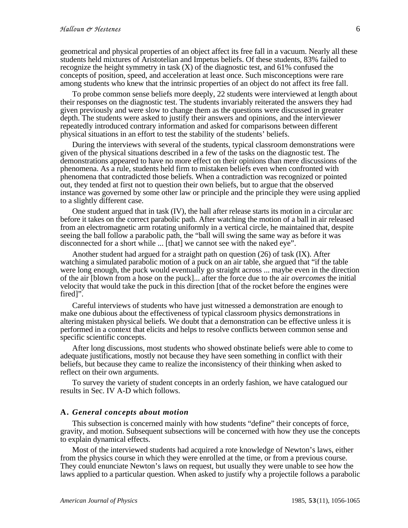geometrical and physical properties of an object affect its free fall in a vacuum. Nearly all these students held mixtures of Aristotelian and Impetus beliefs. Of these students, 83% failed to recognize the height symmetry in task (X) of the diagnostic test, and 61% confused the concepts of position, speed, and acceleration at least once. Such misconceptions were rare among students who knew that the intrinsic properties of an object do not affect its free fall.

To probe common sense beliefs more deeply, 22 students were interviewed at length about their responses on the diagnostic test. The students invariably reiterated the answers they had given previously and were slow to change them as the questions were discussed in greater depth. The students were asked to justify their answers and opinions, and the interviewer repeatedly introduced contrary information and asked for comparisons between different physical situations in an effort to test the stability of the students' beliefs.

During the interviews with several of the students, typical classroom demonstrations were given of the physical situations described in a few of the tasks on the diagnostic test. The demonstrations appeared to have no more effect on their opinions than mere discussions of the phenomena. As a rule, students held firm to mistaken beliefs even when confronted with phenomena that contradicted those beliefs. When a contradiction was recognized or pointed out, they tended at first not to question their own beliefs, but to argue that the observed instance was governed by some other law or principle and the principle they were using applied to a slightly different case.

One student argued that in task (IV), the ball after release starts its motion in a circular arc before it takes on the correct parabolic path. After watching the motion of a ball in air released from an electromagnetic arm rotating uniformly in a vertical circle, he maintained that, despite seeing the ball follow a parabolic path, the "ball will swing the same way as before it was disconnected for a short while ... [that] we cannot see with the naked eye".

Another student had argued for a straight path on question (26) of task (IX). After watching a simulated parabolic motion of a puck on an air table, she argued that "if the table were long enough, the puck would eventually go straight across ... maybe even in the direction of the air [blown from a hose on the puck]... after the force due to the air *overcomes* the initial velocity that would take the puck in this direction [that of the rocket before the engines were fired]".

Careful interviews of students who have just witnessed a demonstration are enough to make one dubious about the effectiveness of typical classroom physics demonstrations in altering mistaken physical beliefs. We doubt that a demonstration can be effective unless it is performed in a context that elicits and helps to resolve conflicts between common sense and specific scientific concepts.

After long discussions, most students who showed obstinate beliefs were able to come to adequate justifications, mostly not because they have seen something in conflict with their beliefs, but because they came to realize the inconsistency of their thinking when asked to reflect on their own arguments.

To survey the variety of student concepts in an orderly fashion, we have catalogued our results in Sec. IV A-D which follows.

#### **A.** *General concepts about motion*

This subsection is concerned mainly with how students "define" their concepts of force, gravity, and motion. Subsequent subsections will be concerned with how they use the concepts to explain dynamical effects.

Most of the interviewed students had acquired a rote knowledge of Newton's laws, either from the physics course in which they were enrolled at the time, or from a previous course. They could enunciate Newton's laws on request, but usually they were unable to see how the laws applied to a particular question. When asked to justify why a projectile follows a parabolic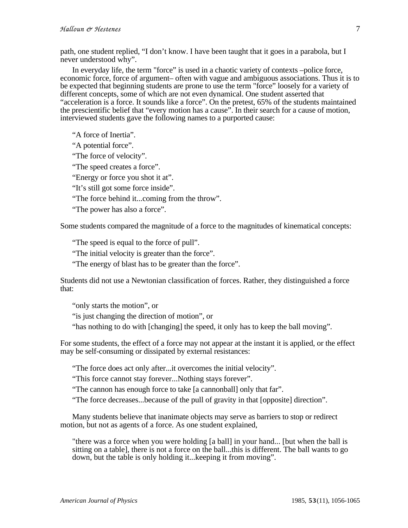path, one student replied, "I don't know. I have been taught that it goes in a parabola, but I never understood why".

In everyday life, the term "force" is used in a chaotic variety of contexts –police force, economic force, force of argument– often with vague and ambiguous associations. Thus it is to be expected that beginning students are prone to use the term "force" loosely for a variety of different concepts, some of which are not even dynamical. One student asserted that "acceleration is a force. It sounds like a force". On the pretest, 65% of the students maintained the prescientific belief that "every motion has a cause". In their search for a cause of motion, interviewed students gave the following names to a purported cause:

"A force of Inertia".

"A potential force".

"The force of velocity".

"The speed creates a force".

"Energy or force you shot it at".

"It's still got some force inside".

"The force behind it...coming from the throw".

"The power has also a force".

Some students compared the magnitude of a force to the magnitudes of kinematical concepts:

"The speed is equal to the force of pull".

"The initial velocity is greater than the force".

"The energy of blast has to be greater than the force".

Students did not use a Newtonian classification of forces. Rather, they distinguished a force that:

"only starts the motion", or

"is just changing the direction of motion", or

"has nothing to do with [changing] the speed, it only has to keep the ball moving".

For some students, the effect of a force may not appear at the instant it is applied, or the effect may be self-consuming or dissipated by external resistances:

"The force does act only after...it overcomes the initial velocity".

"This force cannot stay forever...Nothing stays forever".

"The cannon has enough force to take [a cannonball] only that far".

"The force decreases...because of the pull of gravity in that [opposite] direction".

Many students believe that inanimate objects may serve as barriers to stop or redirect motion, but not as agents of a force. As one student explained,

"there was a force when you were holding [a ball] in your hand... [but when the ball is sitting on a table], there is not a force on the ball...this is different. The ball wants to go down, but the table is only holding it...keeping it from moving".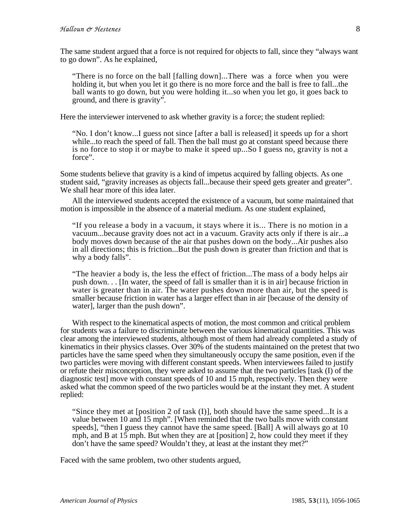The same student argued that a force is not required for objects to fall, since they "always want to go down". As he explained,

"There is no force on the ball [falling down]...There was a force when you were holding it, but when you let it go there is no more force and the ball is free to fall...the ball wants to go down, but you were holding it...so when you let go, it goes back to ground, and there is gravity".

Here the interviewer intervened to ask whether gravity is a force; the student replied:

"No. I don't know...I guess not since [after a ball is released] it speeds up for a short while...to reach the speed of fall. Then the ball must go at constant speed because there is no force to stop it or maybe to make it speed up...So I guess no, gravity is not a force".

Some students believe that gravity is a kind of impetus acquired by falling objects. As one student said, "gravity increases as objects fall...because their speed gets greater and greater". We shall hear more of this idea later.

All the interviewed students accepted the existence of a vacuum, but some maintained that motion is impossible in the absence of a material medium. As one student explained,

"If you release a body in a vacuum, it stays where it is... There is no motion in a vacuum...because gravity does not act in a vacuum. Gravity acts only if there is air...a body moves down because of the air that pushes down on the body...Air pushes also in all directions; this is friction...But the push down is greater than friction and that is why a body falls".

"The heavier a body is, the less the effect of friction...The mass of a body helps air push down. . . [In water, the speed of fall is smaller than it is in air] because friction in water is greater than in air. The water pushes down more than air, but the speed is smaller because friction in water has a larger effect than in air [because of the density of water], larger than the push down".

With respect to the kinematical aspects of motion, the most common and critical problem for students was a failure to discriminate between the various kinematical quantities. This was clear among the interviewed students, although most of them had already completed a study of kinematics in their physics classes. Over 30% of the students maintained on the pretest that two particles have the same speed when they simultaneously occupy the same position, even if the two particles were moving with different constant speeds. When interviewees failed to justify or refute their misconception, they were asked to assume that the two particles [task (I) of the diagnostic test] move with constant speeds of 10 and 15 mph, respectively. Then they were asked what the common speed of the two particles would be at the instant they met. A student replied:

"Since they met at [position 2 of task (I)], both should have the same speed...It is a value between 10 and 15 mph". [When reminded that the two balls move with constant speeds], "then I guess they cannot have the same speed. [Ball] A will always go at 10 mph, and B at 15 mph. But when they are at [position] 2, how could they meet if they don't have the same speed? Wouldn't they, at least at the instant they met?"

Faced with the same problem, two other students argued,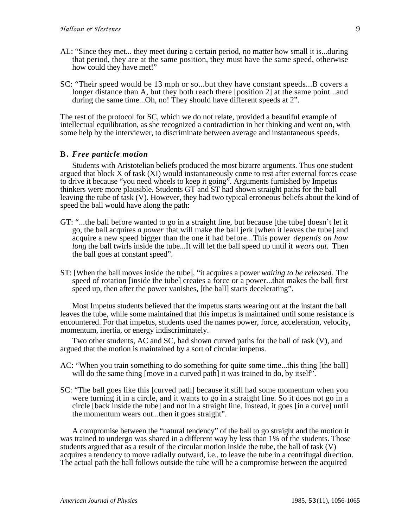- AL: "Since they met... they meet during a certain period, no matter how small it is...during that period, they are at the same position, they must have the same speed, otherwise how could they have met!"
- SC: "Their speed would be 13 mph or so...but they have constant speeds...B covers a longer distance than A, but they both reach there [position 2] at the same point...and during the same time...Oh, no! They should have different speeds at 2".

The rest of the protocol for SC, which we do not relate, provided a beautiful example of intellectual equilibration, as she recognized a contradiction in her thinking and went on, with some help by the interviewer, to discriminate between average and instantaneous speeds.

#### **B.** *Free particle motion*

Students with Aristotelian beliefs produced the most bizarre arguments. Thus one student argued that block X of task (XI) would instantaneously come to rest after external forces cease to drive it because "you need wheels to keep it going". Arguments furnished by Impetus thinkers were more plausible. Students GT and ST had shown straight paths for the ball leaving the tube of task (V). However, they had two typical erroneous beliefs about the kind of speed the ball would have along the path:

- GT: "...the ball before wanted to go in a straight line, but because [the tube] doesn't let it go, the ball acquires *a power* that will make the ball jerk [when it leaves the tube] and acquire a new speed bigger than the one it had before...This power *depends on how long* the ball twirls inside the tube...It will let the ball speed up until it *wears out.* Then the ball goes at constant speed".
- ST: [When the ball moves inside the tube], "it acquires a power *waiting to be released.* The speed of rotation [inside the tube] creates a force or a power...that makes the ball first speed up, then after the power vanishes, [the ball] starts decelerating".

Most Impetus students believed that the impetus starts wearing out at the instant the ball leaves the tube, while some maintained that this impetus is maintained until some resistance is encountered. For that impetus, students used the names power, force, acceleration, velocity, momentum, inertia, or energy indiscriminately.

Two other students, AC and SC, had shown curved paths for the ball of task (V), and argued that the motion is maintained by a sort of circular impetus.

- AC: "When you train something to do something for quite some time...this thing [the ball] will do the same thing [move in a curved path] it was trained to do, by itself".
- SC: "The ball goes like this [curved path] because it still had some momentum when you were turning it in a circle, and it wants to go in a straight line. So it does not go in a circle [back inside the tube] and not in a straight line. Instead, it goes [in a curve] until the momentum wears out...then it goes straight".

A compromise between the "natural tendency" of the ball to go straight and the motion it was trained to undergo was shared in a different way by less than 1% of the students. Those students argued that as a result of the circular motion inside the tube, the ball of task (V) acquires a tendency to move radially outward, i.e., to leave the tube in a centrifugal direction. The actual path the ball follows outside the tube will be a compromise between the acquired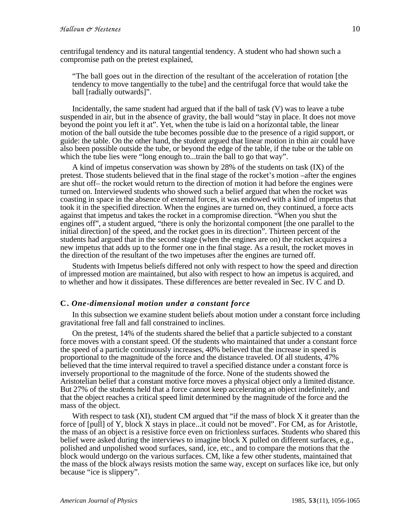centrifugal tendency and its natural tangential tendency. A student who had shown such a compromise path on the pretest explained,

"The ball goes out in the direction of the resultant of the acceleration of rotation [the tendency to move tangentially to the tube] and the centrifugal force that would take the ball [radially outwards]".

Incidentally, the same student had argued that if the ball of task (V) was to leave a tube suspended in air, but in the absence of gravity, the ball would "stay in place. It does not move beyond the point you left it at". Yet, when the tube is laid on a horizontal table, the linear motion of the ball outside the tube becomes possible due to the presence of a rigid support, or guide: the table. On the other hand, the student argued that linear motion in thin air could have also been possible outside the tube, or beyond the edge of the table, if the tube or the table on which the tube lies were "long enough to...train the ball to go that way".

A kind of impetus conservation was shown by 28% of the students on task (IX) of the pretest. Those students believed that in the final stage of the rocket's motion –after the engines are shut off– the rocket would return to the direction of motion it had before the engines were turned on. Interviewed students who showed such a belief argued that when the rocket was coasting in space in the absence of external forces, it was endowed with a kind of impetus that took it in the specified direction. When the engines are turned on, they continued, a force acts against that impetus and takes the rocket in a compromise direction. "When you shut the engines off", a student argued, "there is only the horizontal component [the one parallel to the initial direction] of the speed, and the rocket goes in its direction". Thirteen percent of the students had argued that in the second stage (when the engines are on) the rocket acquires a new impetus that adds up to the former one in the final stage. As a result, the rocket moves in the direction of the resultant of the two impetuses after the engines are turned off.

Students with Impetus beliefs differed not only with respect to how the speed and direction of impressed motion are maintained, but also with respect to how an impetus is acquired, and to whether and how it dissipates. These differences are better revealed in Sec. IV C and D.

#### **C.** *One-dimensional motion under a constant force*

In this subsection we examine student beliefs about motion under a constant force including gravitational free fall and fall constrained to inclines.

On the pretest, 14% of the students shared the belief that a particle subjected to a constant force moves with a constant speed. Of the students who maintained that under a constant force the speed of a particle continuously increases, 40% believed that the increase in speed is proportional to the magnitude of the force and the distance traveled. Of all students, 47% believed that the time interval required to travel a specified distance under a constant force is inversely proportional to the magnitude of the force. None of the students showed the Aristotelian belief that a constant motive force moves a physical object only a limited distance. But 27% of the students held that a force cannot keep accelerating an object indefinitely, and that the object reaches a critical speed limit determined by the magnitude of the force and the mass of the object.

With respect to task (XI), student CM argued that "if the mass of block X it greater than the force of [pull] of Y, block X stays in place...it could not be moved". For CM, as for Aristotle, the mass of an object is a resistive force even on frictionless surfaces. Students who shared this belief were asked during the interviews to imagine block X pulled on different surfaces, e.g., polished and unpolished wood surfaces, sand, ice, etc., and to compare the motions that the block would undergo on the various surfaces. CM, like a few other students, maintained that the mass of the block always resists motion the same way, except on surfaces like ice, but only because "ice is slippery".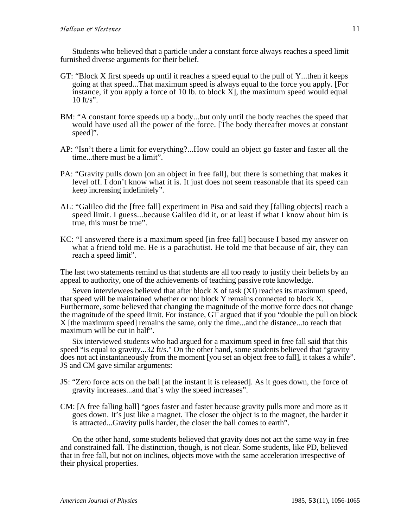Students who believed that a particle under a constant force always reaches a speed limit furnished diverse arguments for their belief.

- GT: "Block X first speeds up until it reaches a speed equal to the pull of Y...then it keeps going at that speed...That maximum speed is always equal to the force you apply. [For instance, if you apply a force of 10 lb, to block  $\overline{X}$ , the maximum speed would equal 10 ft/s".
- BM: "A constant force speeds up a body...but only until the body reaches the speed that would have used all the power of the force. [The body thereafter moves at constant speed]".
- AP: "Isn't there a limit for everything?...How could an object go faster and faster all the time...there must be a limit".
- PA: "Gravity pulls down [on an object in free fall], but there is something that makes it level off. I don't know what it is. It just does not seem reasonable that its speed can keep increasing indefinitely".
- AL: "Galileo did the [free fall] experiment in Pisa and said they [falling objects] reach a speed limit. I guess...because Galileo did it, or at least if what I know about him is true, this must be true".
- KC: "I answered there is a maximum speed [in free fall] because I based my answer on what a friend told me. He is a parachutist. He told me that because of air, they can reach a speed limit".

The last two statements remind us that students are all too ready to justify their beliefs by an appeal to authority, one of the achievements of teaching passive rote knowledge.

Seven interviewees believed that after block X of task (XI) reaches its maximum speed, that speed will be maintained whether or not block Y remains connected to block X. Furthermore, some believed that changing the magnitude of the motive force does not change the magnitude of the speed limit. For instance, GT argued that if you "double the pull on block X [the maximum speed] remains the same, only the time...and the distance...to reach that maximum will be cut in half".

Six interviewed students who had argued for a maximum speed in free fall said that this speed "is equal to gravity...32 ft/s." On the other hand, some students believed that "gravity" does not act instantaneously from the moment [you set an object free to fall], it takes a while". JS and CM gave similar arguments:

- JS: "Zero force acts on the ball [at the instant it is released]. As it goes down, the force of gravity increases...and that's why the speed increases".
- CM: [A free falling ball] "goes faster and faster because gravity pulls more and more as it goes down. It's just like a magnet. The closer the object is to the magnet, the harder it is attracted...Gravity pulls harder, the closer the ball comes to earth".

On the other hand, some students believed that gravity does not act the same way in free and constrained fall. The distinction, though, is not clear. Some students, like PD, believed that in free fall, but not on inclines, objects move with the same acceleration irrespective of their physical properties.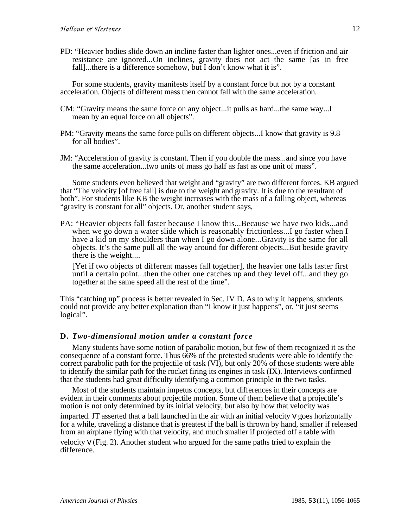PD: "Heavier bodies slide down an incline faster than lighter ones...even if friction and air resistance are ignored...On inclines, gravity does not act the same [as in free fall]...there is a difference somehow, but I don't know what it is".

For some students, gravity manifests itself by a constant force but not by a constant acceleration. Objects of different mass then cannot fall with the same acceleration.

- CM: "Gravity means the same force on any object...it pulls as hard...the same way...I mean by an equal force on all objects".
- PM: "Gravity means the same force pulls on different objects...I know that gravity is 9.8 for all bodies".
- JM: "Acceleration of gravity is constant. Then if you double the mass...and since you have the same acceleration...two units of mass go half as fast as one unit of mass".

Some students even believed that weight and "gravity" are two different forces. KB argued that "The velocity [of free fall] is due to the weight and gravity. It is due to the resultant of both". For students like KB the weight increases with the mass of a falling object, whereas "gravity is constant for all" objects. Or, another student says,

PA: "Heavier objects fall faster because I know this...Because we have two kids...and when we go down a water slide which is reasonably frictionless... I go faster when I have a kid on my shoulders than when I go down alone...Gravity is the same for all objects. It's the same pull all the way around for different objects...But beside gravity there is the weight....

[Yet if two objects of different masses fall together], the heavier one falls faster first until a certain point...then the other one catches up and they level off...and they go together at the same speed all the rest of the time".

This "catching up" process is better revealed in Sec. IV D. As to why it happens, students could not provide any better explanation than "I know it just happens", or, "it just seems logical".

## **D.** *Two-dimensional motion under a constant force*

Many students have some notion of parabolic motion, but few of them recognized it as the consequence of a constant force. Thus 66% of the pretested students were able to identify the correct parabolic path for the projectile of task (VI), but only 20% of those students were able to identify the similar path for the rocket firing its engines in task (IX). Interviews confirmed that the students had great difficulty identifying a common principle in the two tasks.

Most of the students maintain impetus concepts, but differences in their concepts are evident in their comments about projectile motion. Some of them believe that a projectile's motion is not only determined by its initial velocity, but also by how that velocity was imparted. JT asserted that a ball launched in the air with an initial velocity *v* goes horizontally for a while, traveling a distance that is greatest if the ball is thrown by hand, smaller if released from an airplane flying with that velocity, and much smaller if projected off a table with velocity *v* (Fig. 2). Another student who argued for the same paths tried to explain the difference.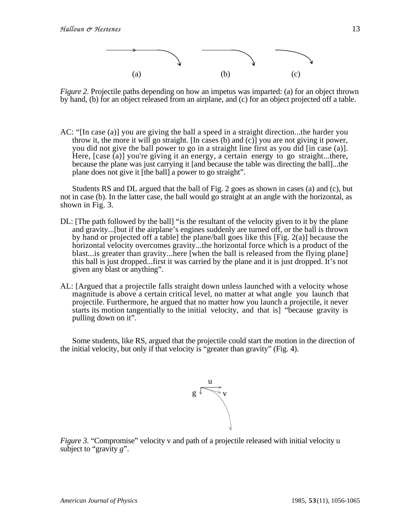

*Figure 2*. Projectile paths depending on how an impetus was imparted: (a) for an object thrown by hand, (b) for an object released from an airplane, and (c) for an object projected off a table.

AC: "[In case (a)] you are giving the ball a speed in a straight direction...the harder you throw it, the more it will go straight. [In cases (b) and  $(c)$ ] you are not giving it power, you did not give the ball power to go in a straight line first as you did [in case (a)]. Here, [case (a)] you're giving it an energy, a certain energy to go straight...there, because the plane was just carrying it [and because the table was directing the ball]...the plane does not give it [the ball] a power to go straight".

Students RS and DL argued that the ball of Fig. 2 goes as shown in cases (a) and (c), but not in case (b). In the latter case, the ball would go straight at an angle with the horizontal, as shown in Fig. 3.

- DL: [The path followed by the ball] "is the resultant of the velocity given to it by the plane and gravity...[but if the airplane's engines suddenly are turned off, or the ball is thrown by hand or projected off a table] the plane/ball goes like this [Fig. 2(a)] because the horizontal velocity overcomes gravity...the horizontal force which is a product of the blast...is greater than gravity...here [when the ball is released from the flying plane] this ball is just dropped...first it was carried by the plane and it is just dropped. It's not given any blast or anything".
- AL: [Argued that a projectile falls straight down unless launched with a velocity whose magnitude is above a certain critical level, no matter at what angle you launch that projectile. Furthermore, he argued that no matter how you launch a projectile, it never starts its motion tangentially to the initial velocity, and that is] "because gravity is pulling down on it".

Some students, like RS, argued that the projectile could start the motion in the direction of the initial velocity, but only if that velocity is "greater than gravity" (Fig. 4).



*Figure 3.* "Compromise" velocity v and path of a projectile released with initial velocity u subject to "gravity *g*".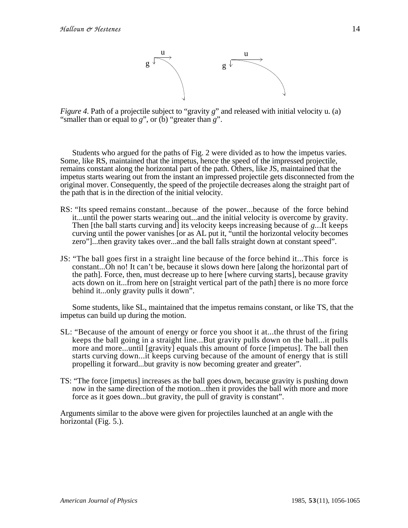

*Figure 4.* Path of a projectile subject to "gravity *g*" and released with initial velocity u. (a) "smaller than or equal to *g*", or (b) "greater than *g*".

Students who argued for the paths of Fig. 2 were divided as to how the impetus varies. Some, like RS, maintained that the impetus, hence the speed of the impressed projectile, remains constant along the horizontal part of the path. Others, like JS, maintained that the impetus starts wearing out from the instant an impressed projectile gets disconnected from the original mover. Consequently, the speed of the projectile decreases along the straight part of the path that is in the direction of the initial velocity.

- RS: "Its speed remains constant...because of the power...because of the force behind it...until the power starts wearing out...and the initial velocity is overcome by gravity. Then [the ball starts curving and] its velocity keeps increasing because of *g*...It keeps curving until the power vanishes [or as AL put it, "until the horizontal velocity becomes zero"]...then gravity takes over...and the ball falls straight down at constant speed".
- JS: "The ball goes first in a straight line because of the force behind it...This force is constant...Oh no! It can't be, because it slows down here [along the horizontal part of the path]. Force, then, must decrease up to here [where curving starts], because gravity acts down on it...from here on [straight vertical part of the path] there is no more force behind it...only gravity pulls it down".

Some students, like SL, maintained that the impetus remains constant, or like TS, that the impetus can build up during the motion.

- SL: "Because of the amount of energy or force you shoot it at...the thrust of the firing keeps the ball going in a straight line...But gravity pulls down on the ball...it pulls more and more...until [gravity] equals this amount of force [impetus]. The ball then starts curving down...it keeps curving because of the amount of energy that is still propelling it forward...but gravity is now becoming greater and greater".
- TS: "The force [impetus] increases as the ball goes down, because gravity is pushing down now in the same direction of the motion...then it provides the ball with more and more force as it goes down...but gravity, the pull of gravity is constant".

Arguments similar to the above were given for projectiles launched at an angle with the horizontal (Fig. 5.).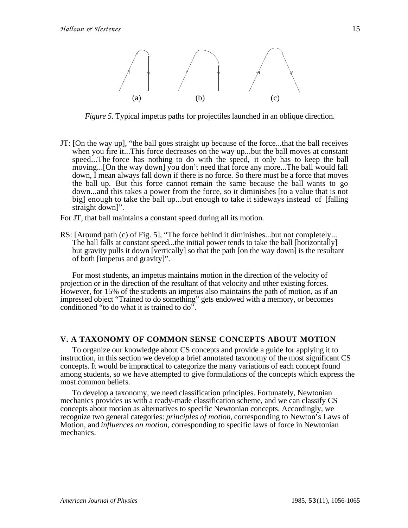

*Figure 5*. Typical impetus paths for projectiles launched in an oblique direction.

JT: [On the way up], "the ball goes straight up because of the force...that the ball receives when you fire it...This force decreases on the way up...but the ball moves at constant speed...The force has nothing to do with the speed, it only has to keep the ball moving...[On the way down] you don't need that force any more...The ball would fall down, I mean always fall down if there is no force. So there must be a force that moves the ball up. But this force cannot remain the same because the ball wants to go down...and this takes a power from the force, so it diminishes [to a value that is not big] enough to take the ball up...but enough to take it sideways instead of [falling straight down]".

For JT, that ball maintains a constant speed during all its motion.

RS: [Around path (c) of Fig. 5], "The force behind it diminishes...but not completely... The ball falls at constant speed...the initial power tends to take the ball [horizontally] but gravity pulls it down [vertically] so that the path [on the way down] is the resultant of both [impetus and gravity]".

For most students, an impetus maintains motion in the direction of the velocity of projection or in the direction of the resultant of that velocity and other existing forces. However, for 15% of the students an impetus also maintains the path of motion, as if an impressed object "Trained to do something" gets endowed with a memory, or becomes conditioned "to do what it is trained to do".

#### **V. A TAXONOMY OF COMMON SENSE CONCEPTS ABOUT MOTION**

To organize our knowledge about CS concepts and provide a guide for applying it to instruction, in this section we develop a brief annotated taxonomy of the most significant CS concepts. It would be impractical to categorize the many variations of each concept found among students, so we have attempted to give formulations of the concepts which express the most common beliefs.

To develop a taxonomy, we need classification principles. Fortunately, Newtonian mechanics provides us with a ready-made classification scheme, and we can classify CS concepts about motion as alternatives to specific Newtonian concepts. Accordingly, we recognize two general categories: *principles of motion,* corresponding to Newton's Laws of Motion, and *influences on motion,* corresponding to specific laws of force in Newtonian mechanics.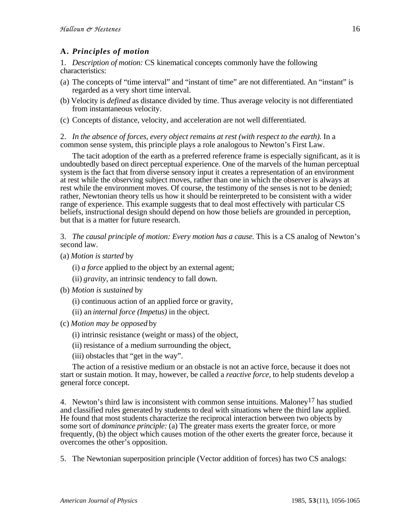# **A.** *Principles of motion*

1. *Description of motion:* CS kinematical concepts commonly have the following characteristics:

- (a) The concepts of "time interval" and "instant of time" are not differentiated. An "instant" is regarded as a very short time interval.
- (b) Velocity is *defined* as distance divided by time. Thus average velocity is not differentiated from instantaneous velocity.
- (c) Concepts of distance, velocity, and acceleration are not well differentiated.

2. *In the absence of forces, every object remains at rest (with respect to the earth).* In a common sense system, this principle plays a role analogous to Newton's First Law.

The tacit adoption of the earth as a preferred reference frame is especially significant, as it is undoubtedly based on direct perceptual experience. One of the marvels of the human perceptual system is the fact that from diverse sensory input it creates a representation of an environment at rest while the observing subject moves, rather than one in which the observer is always at rest while the environment moves. Of course, the testimony of the senses is not to be denied; rather, Newtonian theory tells us how it should be reinterpreted to be consistent with a wider range of experience. This example suggests that to deal most effectively with particular CS beliefs, instructional design should depend on how those beliefs are grounded in perception, but that is a matter for future research.

3. *The causal principle of motion: Every motion has a cause.* This is a CS analog of Newton's second law.

- (a) *Motion is started* by
	- (i) *a force* applied to the object by an external agent;
	- (ii) *gravity,* an intrinsic tendency to fall down.
- (b) *Motion is sustained* by
	- (i) continuous action of an applied force or gravity,
	- (ii) an *internal force (Impetus)* in the object.
- (c) *Motion may be opposed* by
	- (i) intrinsic resistance (weight or mass) of the object,
	- (ii) resistance of a medium surrounding the object,
	- (iii) obstacles that "get in the way".

The action of a resistive medium or an obstacle is not an active force, because it does not start or sustain motion. It may, however, be called a *reactive force,* to help students develop a general force concept.

4. Newton's third law is inconsistent with common sense intuitions. Maloney<sup>17</sup> has studied and classified rules generated by students to deal with situations where the third law applied. He found that most students characterize the reciprocal interaction between two objects by some sort of *dominance principle:* (a) The greater mass exerts the greater force, or more frequently, (b) the object which causes motion of the other exerts the greater force, because it overcomes the other's opposition.

5. The Newtonian superposition principle (Vector addition of forces) has two CS analogs: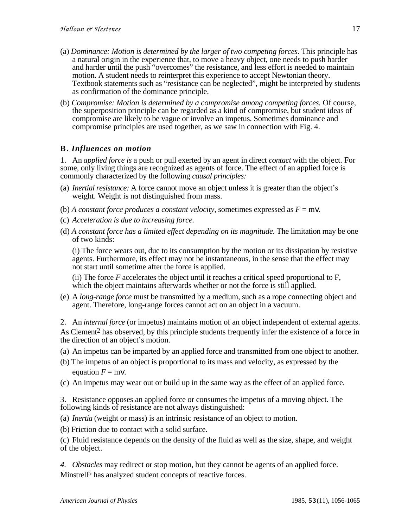- (a) *Dominance: Motion is determined by the larger of two competing forces.* This principle has a natural origin in the experience that, to move a heavy object, one needs to push harder and harder until the push "overcomes" the resistance, and less effort is needed to maintain and harder until the push "overcomes" the resistance, and less effort is needed to maintain motion. A student needs to reinterpret this experience to accept Newtonian theory. Textbook statements such as "resistance can be neglected", might be interpreted by students as confirmation of the dominance principle.
- (b) *Compromise: Motion is determined by a compromise among competing forces.* Of course, the superposition principle can be regarded as a kind of compromise, but student ideas of compromise are likely to be vague or involve an impetus. Sometimes dominance and compromise principles are used together, as we saw in connection with Fig. 4.

# **B.** *Influences on motion*

1. An *applied force is* a push or pull exerted by an agent in direct *contact* with the object. For some, only living things are recognized as agents of force. The effect of an applied force is commonly characterized by the following *causal principles:*

- (a) *Inertial resistance:* A force cannot move an object unless it is greater than the object's weight. Weight is not distinguished from mass.
- (b) *A constant force produces a constant velocity, sometimes expressed as*  $F = m$ *v.*
- (c) *Acceleration is due to increasing force.*
- (d) *A constant force has a limited effect depending on its magnitude.* The limitation may be one of two kinds:

(i) The force wears out, due to its consumption by the motion or its dissipation by resistive agents. Furthermore, its effect may not be instantaneous, in the sense that the effect may not start until sometime after the force is applied.

(ii) The force *F* accelerates the object until it reaches a critical speed proportional to F, which the object maintains afterwards whether or not the force is still applied.

(e) A *long-range force* must be transmitted by a medium, such as a rope connecting object and agent. Therefore, long-range forces cannot act on an object in a vacuum.

2. An *internal force* (or impetus) maintains motion of an object independent of external agents. As Clement<sup>2</sup> has observed, by this principle students frequently infer the existence of a force in the direction of an object's motion.

- (a) An impetus can be imparted by an applied force and transmitted from one object to another.
- (b) The impetus of an object is proportional to its mass and velocity, as expressed by the equation  $F = m\mathbf{v}$ .
- (c) An impetus may wear out or build up in the same way as the effect of an applied force.

3. Resistance opposes an applied force or consumes the impetus of a moving object. The following kinds of resistance are not always distinguished:

- (a) *Inertia* (weight or mass) is an intrinsic resistance of an object to motion.
- (b) Friction due to contact with a solid surface.

(c) Fluid resistance depends on the density of the fluid as well as the size, shape, and weight of the object.

*4. Obstacles* may redirect or stop motion, but they cannot be agents of an applied force. Minstrell<sup>5</sup> has analyzed student concepts of reactive forces.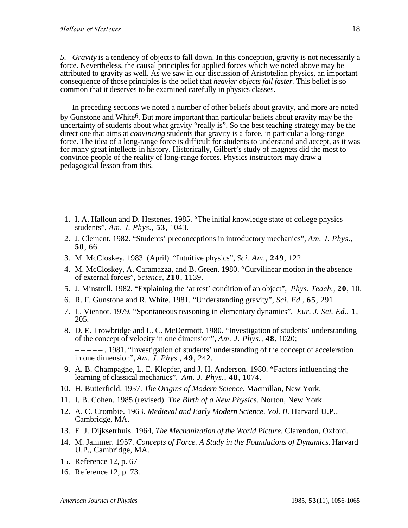*5. Gravity* is a tendency of objects to fall down. In this conception, gravity is not necessarily a force. Nevertheless, the causal principles for applied forces which we noted above may be attributed to gravity as well. As we saw in our discussion of Aristotelian physics, an important consequence of those principles is the belief that *heavier objects fall faster.* This belief is so common that it deserves to be examined carefully in physics classes.

In preceding sections we noted a number of other beliefs about gravity, and more are noted by Gunstone and White6. But more important than particular beliefs about gravity may be the uncertainty of students about what gravity "really is". So the best teaching strategy may be the direct one that aims at *convincing* students that gravity is a force, in particular a long-range force. The idea of a long-range force is difficult for students to understand and accept, as it was for many great intellects in history. Historically, Gilbert's study of magnets did the most to convince people of the reality of long-range forces. Physics instructors may draw a pedagogical lesson from this.

- 1. I. A. Halloun and D. Hestenes. 1985. "The initial knowledge state of college physics students", *Am. J. Phys.*, **53**, 1043.
- 2. J. Clement. 1982. "Students' preconceptions in introductory mechanics", *Am. J. Phys.*, **50**, 66.
- 3. M. McCloskey. 1983. (April). "Intuitive physics", *Sci. Am.*, **249**, 122.
- 4. M. McCloskey, A. Caramazza, and B. Green. 1980. "Curvilinear motion in the absence of external forces", *Science,* **210**, 1139.
- 5. J. Minstrell. 1982. "Explaining the 'at rest' condition of an object", *Phys. Teach.,* **20**, 10.
- 6. R. F. Gunstone and R. White. 1981. "Understanding gravity", *Sci. Ed.,* **65**, 291.
- 7. L. Viennot. 1979. "Spontaneous reasoning in elementary dynamics", *Eur. J. Sci. Ed.*, **1**, 205.
- 8. D. E. Trowbridge and L. C. McDermott. 1980. "Investigation of students' understanding of the concept of velocity in one dimension", *Am. J. Phys.,* **48**, 1020;
	- $-- -$  1981. "Investigation of students' understanding of the concept of acceleration in one dimension", *Am. J. Phys.*, **49**, 242.
- 9. A. B. Champagne, L. E. Klopfer, and J. H. Anderson. 1980. "Factors influencing the learning of classical mechanics", *Am. J. Phys.*, **48**, 1074.
- 10. H. Butterfield. 1957. *The Origins of Modern Science*. Macmillan, New York.
- 11. I. B. Cohen. 1985 (revised). *The Birth of a New Physics.* Norton, New York.
- 12. A. C. Crombie. 1963. *Medieval and Early Modern Science. Vol. II.* Harvard U.P., Cambridge, MA.
- 13. E. J. Dijksetrhuis. 1964, *The Mechanization of the World Picture*. Clarendon, Oxford.
- 14. M. Jammer. 1957. *Concepts of Force. A Study in the Foundations of Dynamics.* Harvard U.P., Cambridge, MA.
- 15. Reference 12, p. 67
- 16. Reference 12, p. 73.